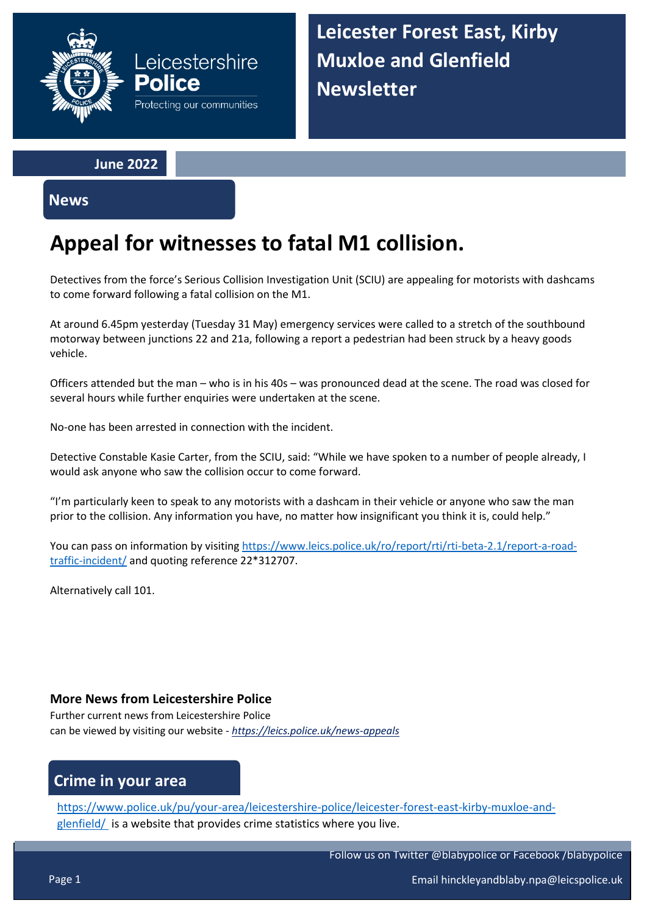

**Leicester Forest East, Kirby Muxloe and Glenfield Newsletter**

**June 2022**

**News**

# **Appeal for witnesses to fatal M1 collision.**

Detectives from the force's Serious Collision Investigation Unit (SCIU) are appealing for motorists with dashcams to come forward following a fatal collision on the M1.

At around 6.45pm yesterday (Tuesday 31 May) emergency services were called to a stretch of the southbound motorway between junctions 22 and 21a, following a report a pedestrian had been struck by a heavy goods vehicle.

Officers attended but the man – who is in his 40s – was pronounced dead at the scene. The road was closed for several hours while further enquiries were undertaken at the scene.

No-one has been arrested in connection with the incident.

Detective Constable Kasie Carter, from the SCIU, said: "While we have spoken to a number of people already, I would ask anyone who saw the collision occur to come forward.

"I'm particularly keen to speak to any motorists with a dashcam in their vehicle or anyone who saw the man prior to the collision. Any information you have, no matter how insignificant you think it is, could help."

You can pass on information by visitin[g https://www.leics.police.uk/ro/report/rti/rti-beta-2.1/report-a-road](https://www.leics.police.uk/ro/report/rti/rti-beta-2.1/report-a-road-traffic-incident/)[traffic-incident/](https://www.leics.police.uk/ro/report/rti/rti-beta-2.1/report-a-road-traffic-incident/) and quoting reference 22\*312707.

Alternatively call 101.

### **More News from Leicestershire Police**

Further current news from Leicestershire Police can be viewed by visiting our website - *<https://leics.police.uk/news-appeals>*

## **Crime in your area**

[https://www.police.uk/pu/your-area/leicestershire-police/leicester-forest-east-kirby-muxloe-and](https://www.police.uk/pu/your-area/leicestershire-police/leicester-forest-east-kirby-muxloe-and-glenfield/)[glenfield/](https://www.police.uk/pu/your-area/leicestershire-police/leicester-forest-east-kirby-muxloe-and-glenfield/) is a website that provides crime statistics where you live.

Follow us on Twitter @blabypolice or Facebook /blabypolice